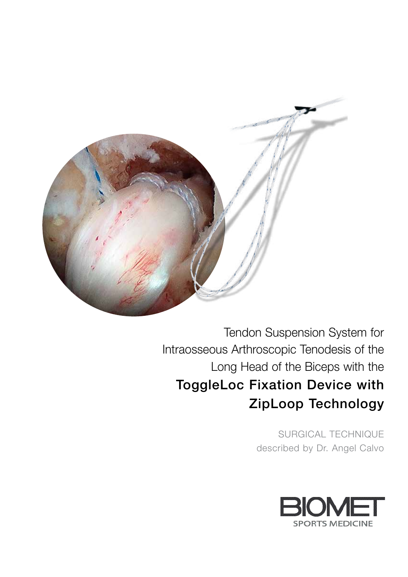

Tendon Suspension System for Intraosseous Arthroscopic Tenodesis of the Long Head of the Biceps with the ToggleLoc Fixation Device with ZipLoop Technology

> SURGICAL TECHNIQUE described by Dr. Angel Calvo

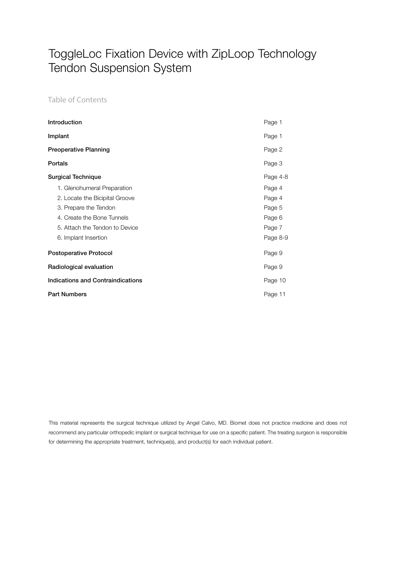Table of Contents

| Introduction                             | Page 1   |
|------------------------------------------|----------|
| Implant                                  | Page 1   |
| <b>Preoperative Planning</b>             | Page 2   |
| Portals                                  | Page 3   |
| <b>Surgical Technique</b>                | Page 4-8 |
| 1. Glenohumeral Preparation              | Page 4   |
| 2. Locate the Bicipital Groove           | Page 4   |
| 3. Prepare the Tendon                    | Page 5   |
| 4. Create the Bone Tunnels               | Page 6   |
| 5. Attach the Tendon to Device           | Page 7   |
| 6. Implant Insertion                     | Page 8-9 |
| <b>Postoperative Protocol</b>            | Page 9   |
| Radiological evaluation                  | Page 9   |
| <b>Indications and Contraindications</b> |          |
| <b>Part Numbers</b>                      |          |

This material represents the surgical technique utilized by Angel Calvo, MD. Biomet does not practice medicine and does not recommend any particular orthopedic implant or surgical technique for use on a specific patient. The treating surgeon is responsible for determining the appropriate treatment, technique(s), and product(s) for each individual patient.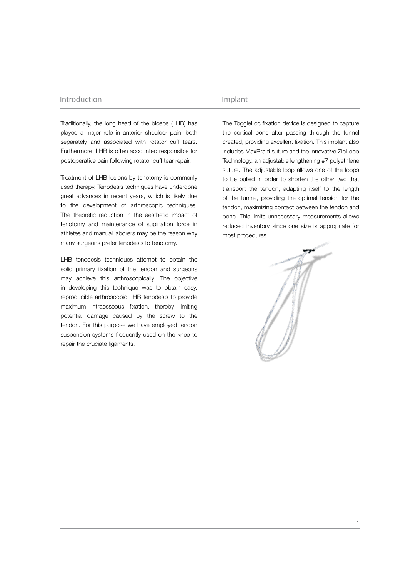### Introduction

Traditionally, the long head of the biceps (LHB) has played a major role in anterior shoulder pain, both separately and associated with rotator cuff tears. Furthermore, LHB is often accounted responsible for postoperative pain following rotator cuff tear repair.

Treatment of LHB lesions by tenotomy is commonly used therapy. Tenodesis techniques have undergone great advances in recent years, which is likely due to the development of arthroscopic techniques. The theoretic reduction in the aesthetic impact of tenotomy and maintenance of supination force in athletes and manual laborers may be the reason why many surgeons prefer tenodesis to tenotomy.

LHB tenodesis techniques attempt to obtain the solid primary fixation of the tendon and surgeons may achieve this arthroscopically. The objective in developing this technique was to obtain easy, reproducible arthroscopic LHB tenodesis to provide maximum intraosseous fixation, thereby limiting potential damage caused by the screw to the tendon. For this purpose we have employed tendon suspension systems frequently used on the knee to repair the cruciate ligaments.

### Implant

The ToggleLoc fixation device is designed to capture the cortical bone after passing through the tunnel created, providing excellent fixation. This implant also includes MaxBraid suture and the innovative ZipLoop Technology, an adjustable lengthening #7 polyethlene suture. The adjustable loop allows one of the loops to be pulled in order to shorten the other two that transport the tendon, adapting itself to the length of the tunnel, providing the optimal tension for the tendon, maximizing contact between the tendon and bone. This limits unnecessary measurements allows reduced inventory since one size is appropriate for most procedures.

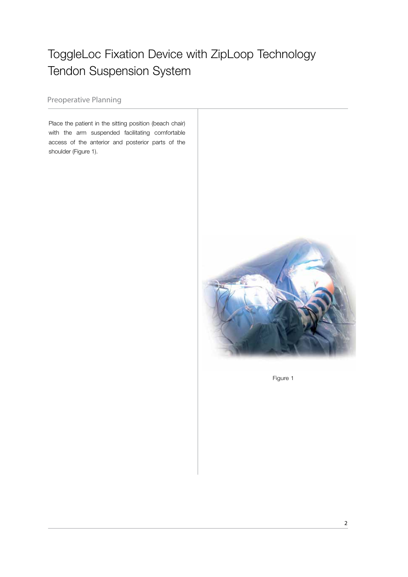Preoperative Planning

Place the patient in the sitting position (beach chair) with the arm suspended facilitating comfortable access of the anterior and posterior parts of the shoulder (Figure 1).



Figure 1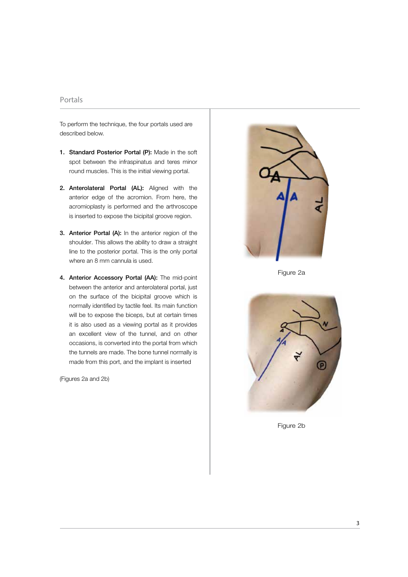### Portals

To perform the technique, the four portals used are described below.

- 1. Standard Posterior Portal (P): Made in the soft spot between the infraspinatus and teres minor round muscles. This is the initial viewing portal.
- 2. Anterolateral Portal (AL): Aligned with the anterior edge of the acromion. From here, the acromioplasty is performed and the arthroscope is inserted to expose the bicipital groove region.
- 3. Anterior Portal (A): In the anterior region of the shoulder. This allows the ability to draw a straight line to the posterior portal. This is the only portal where an 8 mm cannula is used.
- 4. Anterior Accessory Portal (AA): The mid-point between the anterior and anterolateral portal, just on the surface of the bicipital groove which is normally identified by tactile feel. Its main function will be to expose the biceps, but at certain times it is also used as a viewing portal as it provides an excellent view of the tunnel, and on other occasions, is converted into the portal from which the tunnels are made. The bone tunnel normally is made from this port, and the implant is inserted

(Figures 2a and 2b)



Figure 2a



Figure 2b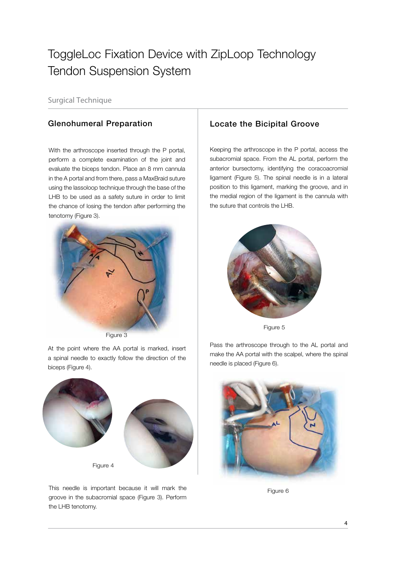Surgical Technique

With the arthroscope inserted through the P portal, perform a complete examination of the joint and evaluate the biceps tendon. Place an 8 mm cannula in the A portal and from there, pass a MaxBraid suture using the lassoloop technique through the base of the LHB to be used as a safety suture in order to limit the chance of losing the tendon after performing the tenotomy (Figure 3).



Figure 3

At the point where the AA portal is marked, insert a spinal needle to exactly follow the direction of the biceps (Figure 4).



This needle is important because it will mark the groove in the subacromial space (Figure 3). Perform the LHB tenotomy.

## Glenohumeral Preparation **Locate the Bicipital Groove**

Keeping the arthroscope in the P portal, access the subacromial space. From the AL portal, perform the anterior bursectomy, identifying the coracoacromial ligament (Figure 5). The spinal needle is in a lateral position to this ligament, marking the groove, and in the medial region of the ligament is the cannula with the suture that controls the LHB.



Figure 5

Pass the arthroscope through to the AL portal and make the AA portal with the scalpel, where the spinal needle is placed (Figure 6).



Figure 6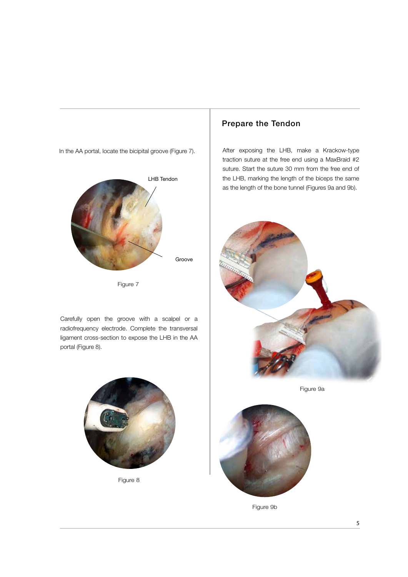In the AA portal, locate the bicipital groove (Figure 7).



Figure 7

Carefully open the groove with a scalpel or a radiofrequency electrode. Complete the transversal ligament cross-section to expose the LHB in the AA portal (Figure 8).



Figure 8

## Prepare the Tendon

After exposing the LHB, make a Krackow-type traction suture at the free end using a MaxBraid #2 suture. Start the suture 30 mm from the free end of the LHB, marking the length of the biceps the same as the length of the bone tunnel (Figures 9a and 9b).



Figure 9a



Figure 9b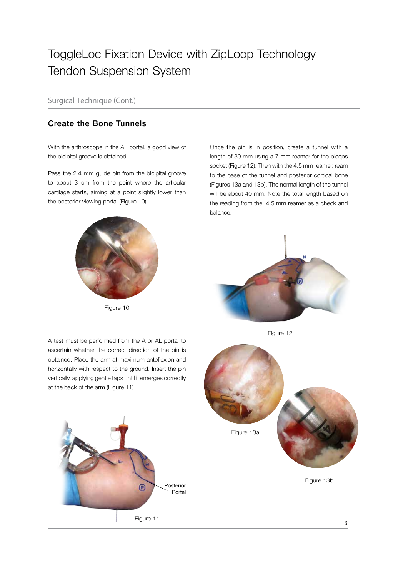Surgical Technique (Cont.)

## Create the Bone Tunnels

With the arthroscope in the AL portal, a good view of the bicipital groove is obtained.

Pass the 2.4 mm guide pin from the bicipital groove to about 3 cm from the point where the articular cartilage starts, aiming at a point slightly lower than the posterior viewing portal (Figure 10).



Figure 10

A test must be performed from the A or AL portal to ascertain whether the correct direction of the pin is obtained. Place the arm at maximum anteflexion and horizontally with respect to the ground. Insert the pin vertically, applying gentle taps until it emerges correctly at the back of the arm (Figure 11).



Once the pin is in position, create a tunnel with a length of 30 mm using a 7 mm reamer for the biceps socket (Figure 12). Then with the 4.5 mm reamer, ream to the base of the tunnel and posterior cortical bone (Figures 13a and 13b). The normal length of the tunnel will be about 40 mm. Note the total length based on the reading from the 4.5 mm reamer as a check and balance.



Figure 12

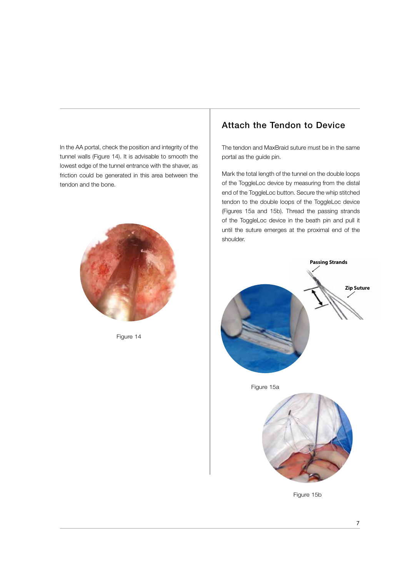In the AA portal, check the position and integrity of the tunnel walls (Figure 14). It is advisable to smooth the lowest edge of the tunnel entrance with the shaver, as friction could be generated in this area between the tendon and the bone.



Figure 14

## Attach the Tendon to Device

The tendon and MaxBraid suture must be in the same portal as the guide pin.

Mark the total length of the tunnel on the double loops of the ToggleLoc device by measuring from the distal end of the ToggleLoc button. Secure the whip stitched tendon to the double loops of the ToggleLoc device (Figures 15a and 15b). Thread the passing strands of the ToggleLoc device in the beath pin and pull it until the suture emerges at the proximal end of the shoulder.

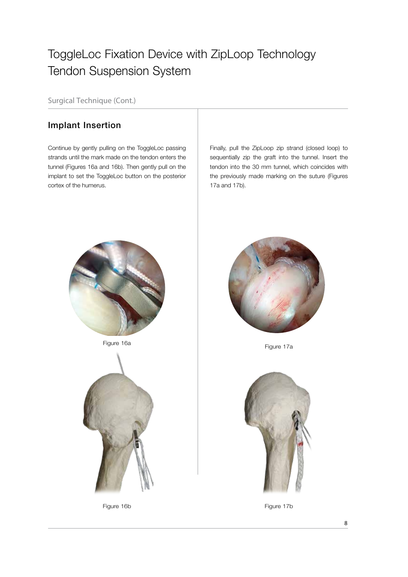Surgical Technique (Cont.)

## Implant Insertion

Continue by gently pulling on the ToggleLoc passing strands until the mark made on the tendon enters the tunnel (Figures 16a and 16b). Then gently pull on the implant to set the ToggleLoc button on the posterior cortex of the humerus.

Finally, pull the ZipLoop zip strand (closed loop) to sequentially zip the graft into the tunnel. Insert the tendon into the 30 mm tunnel, which coincides with the previously made marking on the suture (Figures 17a and 17b).







Figure 16b



Figure 17a



Figure 17b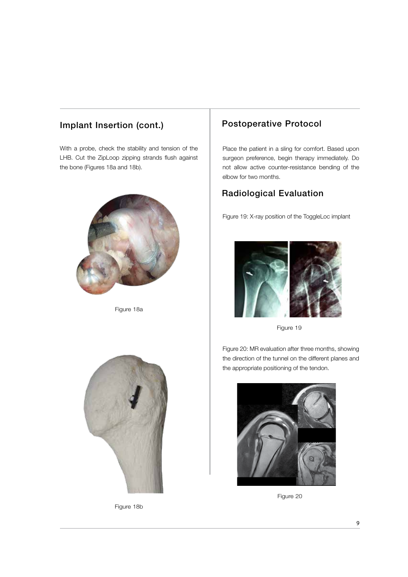## Implant Insertion (cont.) Postoperative Protocol

With a probe, check the stability and tension of the LHB. Cut the ZipLoop zipping strands flush against the bone (Figures 18a and 18b).



Figure 18a



Figure 18b

Place the patient in a sling for comfort. Based upon surgeon preference, begin therapy immediately. Do not allow active counter-resistance bending of the elbow for two months.

## Radiological Evaluation

Figure 19: X-ray position of the ToggleLoc implant



Figure 19

Figure 20: MR evaluation after three months, showing the direction of the tunnel on the different planes and the appropriate positioning of the tendon.



Figure 20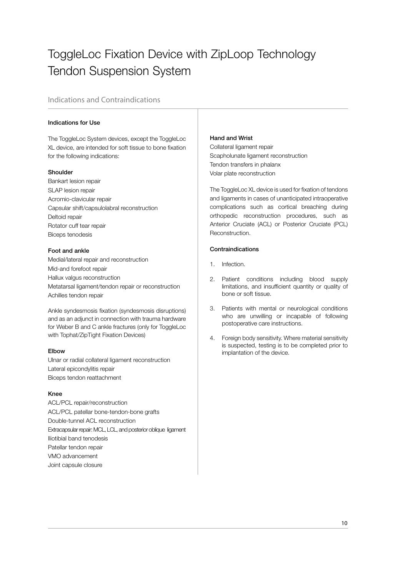## Indications and Contraindications

## Indications for Use

The ToggleLoc System devices, except the ToggleLoc XL device, are intended for soft tissue to bone fixation for the following indications:

### Shoulder

Bankart lesion repair SLAP lesion repair Acromio-clavicular repair Capsular shift/capsulolabral reconstruction Deltoid repair Rotator cuff tear repair Biceps tenodesis

## Foot and ankle

Medial/lateral repair and reconstruction Mid-and forefoot repair Hallux valgus reconstruction Metatarsal ligament/tendon repair or reconstruction Achilles tendon repair

Ankle syndesmosis fixation (syndesmosis disruptions) and as an adjunct in connection with trauma hardware for Weber B and C ankle fractures (only for ToggleLoc with Tophat/ZipTight Fixation Devices)

### Elbow

Ulnar or radial collateral ligament reconstruction Lateral epicondylitis repair Biceps tendon reattachment

### Knee

ACL/PCL repair/reconstruction ACL/PCL patellar bone-tendon-bone grafts Double-tunnel ACL reconstruction Extracapsular repair: MCL, LCL, and posterior oblique ligament Iliotibial band tenodesis Patellar tendon repair VMO advancement Joint capsule closure

## Hand and Wrist

Collateral ligament repair Scapholunate ligament reconstruction Tendon transfers in phalanx Volar plate reconstruction

The ToggleLoc XL device is used for fixation of tendons and ligaments in cases of unanticipated intraoperative complications such as cortical breaching during orthopedic reconstruction procedures, such as Anterior Cruciate (ACL) or Posterior Cruciate (PCL) Reconstruction.

## Contraindications

- 1. Infection.
- 2. Patient conditions including blood supply limitations, and insufficient quantity or quality of bone or soft tissue.
- 3. Patients with mental or neurological conditions who are unwilling or incapable of following postoperative care instructions.
- 4. Foreign body sensitivity. Where material sensitivity is suspected, testing is to be completed prior to implantation of the device.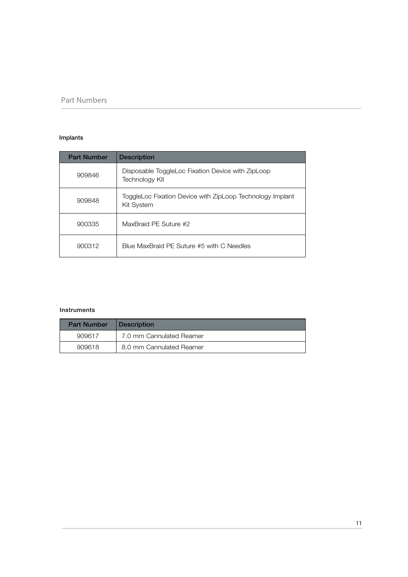## Part Numbers

## Implants

| <b>Part Number</b> | <b>Description</b>                                                      |
|--------------------|-------------------------------------------------------------------------|
| 909846             | Disposable ToggleLoc Fixation Device with ZipLoop<br>Technology Kit     |
| 909848             | ToggleLoc Fixation Device with ZipLoop Technology Implant<br>Kit System |
| 900335             | MaxBraid PE Suture #2                                                   |
| 900312             | Blue MaxBraid PE Suture #5 with C Needles                               |

### Instruments

| <b>Part Number</b> | <b>Description</b>       |
|--------------------|--------------------------|
| 909617             | 7.0 mm Cannulated Reamer |
| 909618             | 8.0 mm Cannulated Reamer |